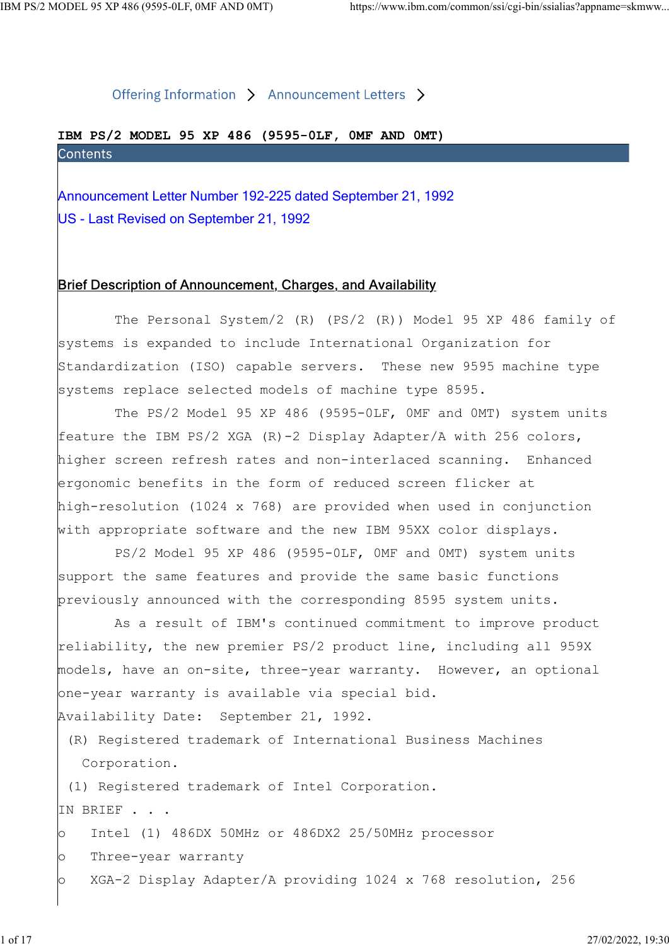# IBM PS/2 MODEL 95 XP 486 (9595-0LF, 0MF AND 0MT)

ODEL 95 XP 486 (9595-0LF, 0MF AND 0MT)<br>
Offering Information > Announcement Letters ><br> **IBM PS/2 MODEL 95 XP 486 (9595-0LF, 0MF AND 0MT)**<br>
Contents<br>
Announcement Letter Number 192-225 dated September 21, 1992<br>
US - Last Re US - Last Revised on September 21, 1992

## Brief Description of Announcement, Charges, and Availability

 The Personal System/2 (R) (PS/2 (R)) Model 95 XP 486 family of systems is expanded to include International Organization for Standardization (ISO) capable servers. These new 9595 machine type systems replace selected models of machine type 8595.

 The PS/2 Model 95 XP 486 (9595-0LF, 0MF and 0MT) system units feature the IBM PS/2 XGA (R)-2 Display Adapter/A with 256 colors, higher screen refresh rates and non-interlaced scanning. Enhanced ergonomic benefits in the form of reduced screen flicker at high-resolution (1024 x 768) are provided when used in conjunction with appropriate software and the new IBM 95XX color displays.

 PS/2 Model 95 XP 486 (9595-0LF, 0MF and 0MT) system units support the same features and provide the same basic functions previously announced with the corresponding 8595 system units.

 As a result of IBM's continued commitment to improve product reliability, the new premier PS/2 product line, including all 959X models, have an on-site, three-year warranty. However, an optional one-year warranty is available via special bid.

Availability Date: September 21, 1992.

 (R) Registered trademark of International Business Machines Corporation.

(1) Registered trademark of Intel Corporation.

IN BRIEF . . .

o Intel (1) 486DX 50MHz or 486DX2 25/50MHz processor

o Three-year warranty

o XGA-2 Display Adapter/A providing 1024 x 768 resolution, 256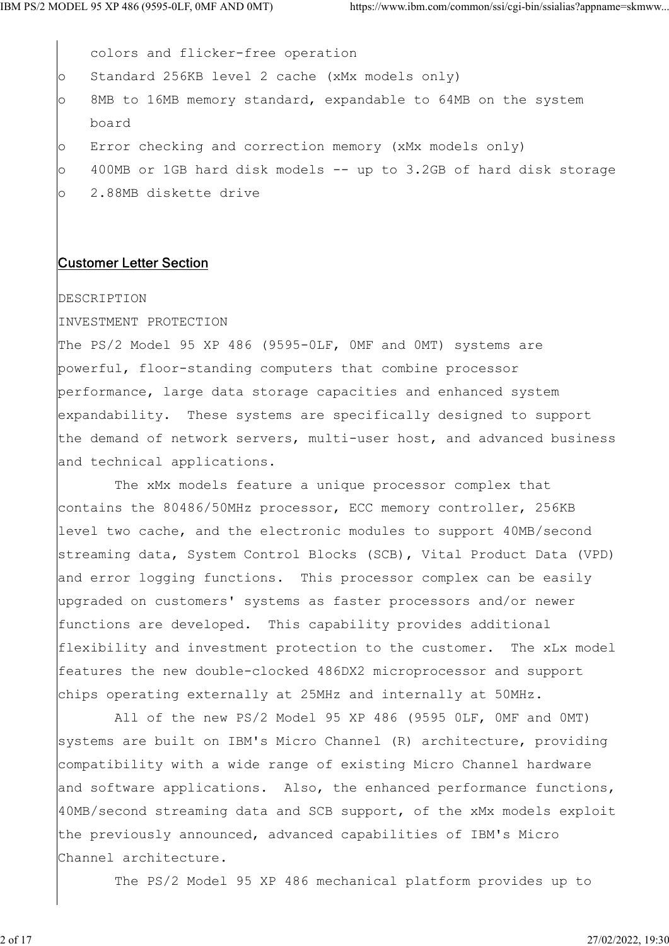colors and flicker-free operation o Standard 256KB level 2 cache (xMx models only) o 8MB to 16MB memory standard, expandable to 64MB on the system board o Error checking and correction memory (xMx models only) o 400MB or 1GB hard disk models -- up to 3.2GB of hard disk storage o 2.88MB diskette drive

### Customer Letter Section

#### DESCRIPTION

INVESTMENT PROTECTION

The PS/2 Model 95 XP 486 (9595-0LF, 0MF and 0MT) systems are powerful, floor-standing computers that combine processor performance, large data storage capacities and enhanced system expandability. These systems are specifically designed to support the demand of network servers, multi-user host, and advanced business and technical applications.

 The xMx models feature a unique processor complex that contains the 80486/50MHz processor, ECC memory controller, 256KB level two cache, and the electronic modules to support 40MB/second streaming data, System Control Blocks (SCB), Vital Product Data (VPD) and error logging functions. This processor complex can be easily upgraded on customers' systems as faster processors and/or newer functions are developed. This capability provides additional flexibility and investment protection to the customer. The xLx model features the new double-clocked 486DX2 microprocessor and support chips operating externally at 25MHz and internally at 50MHz.

 All of the new PS/2 Model 95 XP 486 (9595 0LF, 0MF and 0MT) systems are built on IBM's Micro Channel (R) architecture, providing compatibility with a wide range of existing Micro Channel hardware and software applications. Also, the enhanced performance functions, 40MB/second streaming data and SCB support, of the xMx models exploit the previously announced, advanced capabilities of IBM's Micro Channel architecture.

The PS/2 Model 95 XP 486 mechanical platform provides up to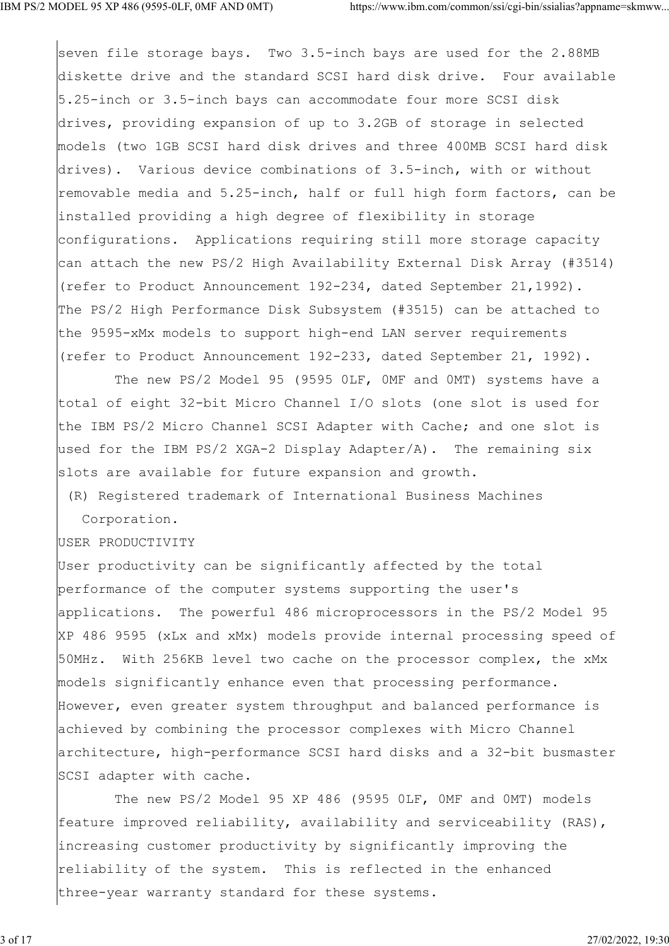seven file storage bays. Two 3.5-inch bays are used for the 2.88MB diskette drive and the standard SCSI hard disk drive. Four available 5.25-inch or 3.5-inch bays can accommodate four more SCSI disk drives, providing expansion of up to 3.2GB of storage in selected models (two 1GB SCSI hard disk drives and three 400MB SCSI hard disk drives). Various device combinations of 3.5-inch, with or without removable media and 5.25-inch, half or full high form factors, can be installed providing a high degree of flexibility in storage configurations. Applications requiring still more storage capacity can attach the new PS/2 High Availability External Disk Array (#3514) (refer to Product Announcement 192-234, dated September 21,1992). The PS/2 High Performance Disk Subsystem (#3515) can be attached to the 9595-xMx models to support high-end LAN server requirements (refer to Product Announcement 192-233, dated September 21, 1992).

 The new PS/2 Model 95 (9595 0LF, 0MF and 0MT) systems have a total of eight 32-bit Micro Channel I/O slots (one slot is used for the IBM PS/2 Micro Channel SCSI Adapter with Cache; and one slot is used for the IBM PS/2 XGA-2 Display Adapter/A). The remaining six slots are available for future expansion and growth.

 (R) Registered trademark of International Business Machines Corporation.

USER PRODUCTIVITY

User productivity can be significantly affected by the total performance of the computer systems supporting the user's applications. The powerful 486 microprocessors in the PS/2 Model 95 XP 486 9595 (xLx and xMx) models provide internal processing speed of 50MHz. With 256KB level two cache on the processor complex, the xMx models significantly enhance even that processing performance. However, even greater system throughput and balanced performance is achieved by combining the processor complexes with Micro Channel architecture, high-performance SCSI hard disks and a 32-bit busmaster SCSI adapter with cache.

 The new PS/2 Model 95 XP 486 (9595 0LF, 0MF and 0MT) models feature improved reliability, availability and serviceability (RAS), increasing customer productivity by significantly improving the reliability of the system. This is reflected in the enhanced three-year warranty standard for these systems.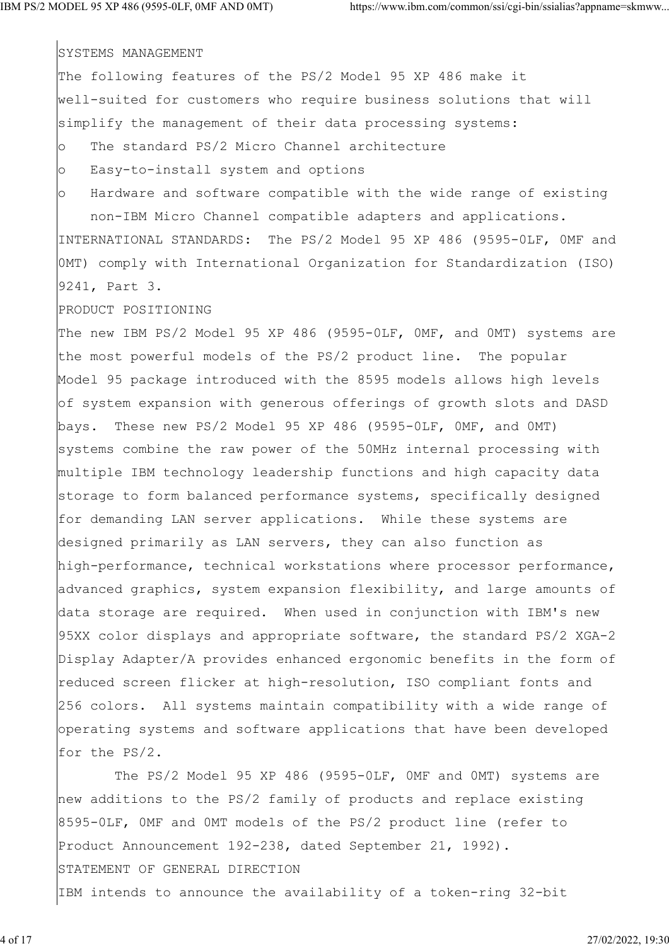SYSTEMS MANAGEMENT

The following features of the PS/2 Model 95 XP 486 make it well-suited for customers who require business solutions that will simplify the management of their data processing systems: o The standard PS/2 Micro Channel architecture o Easy-to-install system and options o Hardware and software compatible with the wide range of existing

 non-IBM Micro Channel compatible adapters and applications. INTERNATIONAL STANDARDS: The PS/2 Model 95 XP 486 (9595-0LF, 0MF and 0MT) comply with International Organization for Standardization (ISO) 9241, Part 3.

PRODUCT POSITIONING

The new IBM PS/2 Model 95 XP 486 (9595-OLF, OMF, and OMT) systems are the most powerful models of the PS/2 product line. The popular Model 95 package introduced with the 8595 models allows high levels of system expansion with generous offerings of growth slots and DASD bays. These new PS/2 Model 95 XP 486 (9595-0LF, 0MF, and 0MT) systems combine the raw power of the 50MHz internal processing with multiple IBM technology leadership functions and high capacity data storage to form balanced performance systems, specifically designed for demanding LAN server applications. While these systems are designed primarily as LAN servers, they can also function as high-performance, technical workstations where processor performance, advanced graphics, system expansion flexibility, and large amounts of data storage are required. When used in conjunction with IBM's new 95XX color displays and appropriate software, the standard PS/2 XGA-2 Display Adapter/A provides enhanced ergonomic benefits in the form of reduced screen flicker at high-resolution, ISO compliant fonts and 256 colors. All systems maintain compatibility with a wide range of operating systems and software applications that have been developed for the PS/2.

 The PS/2 Model 95 XP 486 (9595-0LF, 0MF and 0MT) systems are new additions to the PS/2 family of products and replace existing 8595-0LF, 0MF and 0MT models of the PS/2 product line (refer to Product Announcement 192-238, dated September 21, 1992). STATEMENT OF GENERAL DIRECTION IBM intends to announce the availability of a token-ring 32-bit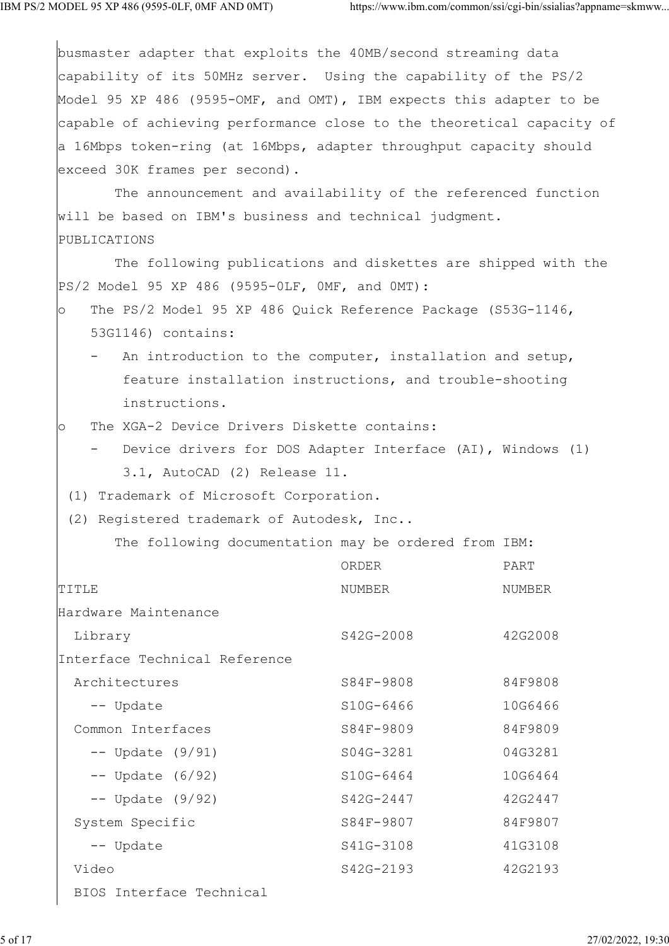busmaster adapter that exploits the 40MB/second streaming data capability of its 50MHz server. Using the capability of the PS/2 Model 95 XP 486 (9595-OMF, and OMT), IBM expects this adapter to be capable of achieving performance close to the theoretical capacity of a 16Mbps token-ring (at 16Mbps, adapter throughput capacity should exceed 30K frames per second). The announcement and availability of the referenced function will be based on IBM's business and technical judgment. PUBLICATIONS The following publications and diskettes are shipped with the PS/2 Model 95 XP 486 (9595-0LF, 0MF, and 0MT): o The PS/2 Model 95 XP 486 Quick Reference Package (S53G-1146, 53G1146) contains: - An introduction to the computer, installation and setup, feature installation instructions, and trouble-shooting instructions. o The XGA-2 Device Drivers Diskette contains: Device drivers for DOS Adapter Interface (AI), Windows (1) 3.1, AutoCAD (2) Release 11. (1) Trademark of Microsoft Corporation. (2) Registered trademark of Autodesk, Inc.. The following documentation may be ordered from IBM: ORDER PART TITLE TITLE SERVICES AND THE SERVICE RELATIONS AND MUNICIPALLY AND MUNICIPALLY AND MUNICIPALLY AND MUNICIPALLY AND MUNICIPALLY AND MUNICIPALLY AND MUNICIPALLY AND MUNICIPALLY AND MUNICIPALLY AND MUNICIPALLY AND MUNICIPALLY Hardware Maintenance Library S42G-2008 42G2008 Interface Technical Reference Architectures S84F-9808 84F9808 -- Update S10G-6466 10G6466 Common Interfaces and S84F-9809 84F9809 -- Update (9/91) S04G-3281 04G3281 -- Update (6/92) S10G-6464 10G6464 -- Update (9/92) S42G-2447 42G2447 System Specific S84F-9807 84F9807 -- Update S41G-3108 41G3108 Video S42G-2193 42G2193 BIOS Interface Technical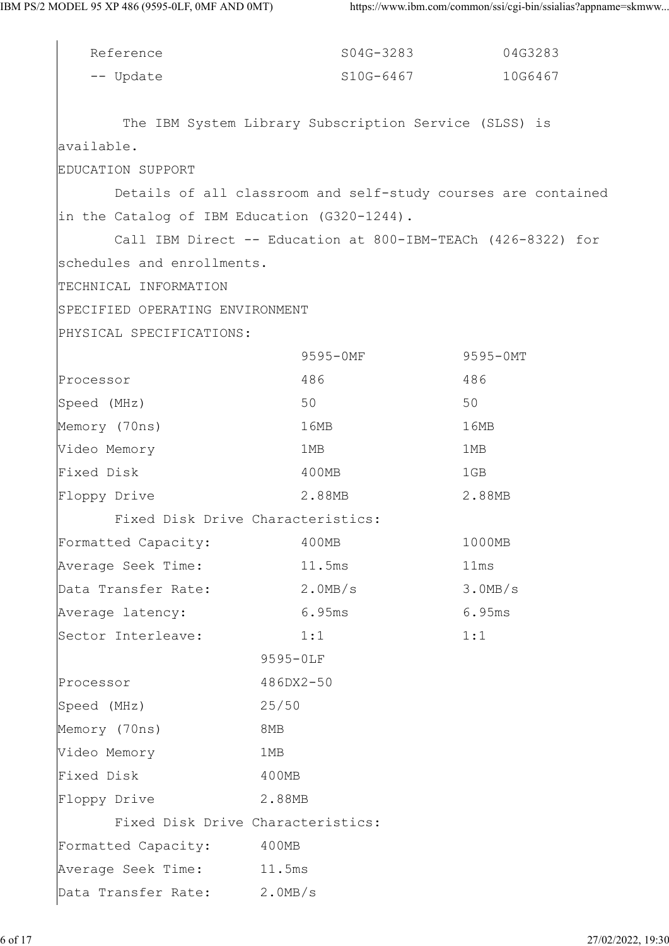| Reference                                    | S04G-3283                                             | 04G3283                                                       |
|----------------------------------------------|-------------------------------------------------------|---------------------------------------------------------------|
| -- Update                                    | S10G-6467                                             | 10G6467                                                       |
|                                              |                                                       |                                                               |
|                                              | The IBM System Library Subscription Service (SLSS) is |                                                               |
| available.                                   |                                                       |                                                               |
| EDUCATION SUPPORT                            |                                                       |                                                               |
|                                              |                                                       | Details of all classroom and self-study courses are contained |
| in the Catalog of IBM Education (G320-1244). |                                                       |                                                               |
|                                              |                                                       | Call IBM Direct -- Education at 800-IBM-TEACh (426-8322) for  |
| schedules and enrollments.                   |                                                       |                                                               |
| TECHNICAL INFORMATION                        |                                                       |                                                               |
| SPECIFIED OPERATING ENVIRONMENT              |                                                       |                                                               |
| PHYSICAL SPECIFICATIONS:                     |                                                       |                                                               |
|                                              | 9595-0MF                                              | 9595-0MT                                                      |
| Processor                                    | 486                                                   | 486                                                           |
| Speed (MHz)                                  | 50                                                    | 50                                                            |
| Memory (70ns)                                | 16MB                                                  | 16MB                                                          |
| Video Memory                                 | 1MB                                                   | 1MB                                                           |
| Fixed Disk                                   | 400MB                                                 | 1GB                                                           |
| Floppy Drive                                 | 2.88MB                                                | 2.88MB                                                        |
|                                              | Fixed Disk Drive Characteristics:                     |                                                               |
| Formatted Capacity:                          | 400MB                                                 | 1000MB                                                        |
| Average Seek Time:                           | 11.5ms                                                | 11ms                                                          |
| Data Transfer Rate:                          | $2.0$ MB/s                                            | 3.0MB/s                                                       |
| Average latency:                             | 6.95ms                                                | 6.95ms                                                        |
| Sector Interleave:                           | 1:1                                                   | 1:1                                                           |
|                                              | 9595-0LF                                              |                                                               |
| Processor                                    | 486DX2-50                                             |                                                               |
| Speed (MHz)                                  | 25/50                                                 |                                                               |
| Memory (70ns)                                | 8MB                                                   |                                                               |
| Video Memory                                 | 1MB                                                   |                                                               |
| Fixed Disk                                   | 400MB                                                 |                                                               |
| Floppy Drive                                 | 2.88MB                                                |                                                               |
|                                              | Fixed Disk Drive Characteristics:                     |                                                               |
| Formatted Capacity:                          | 400MB                                                 |                                                               |
| Average Seek Time: 11.5ms                    |                                                       |                                                               |
| Data Transfer Rate: 2.0MB/s                  |                                                       |                                                               |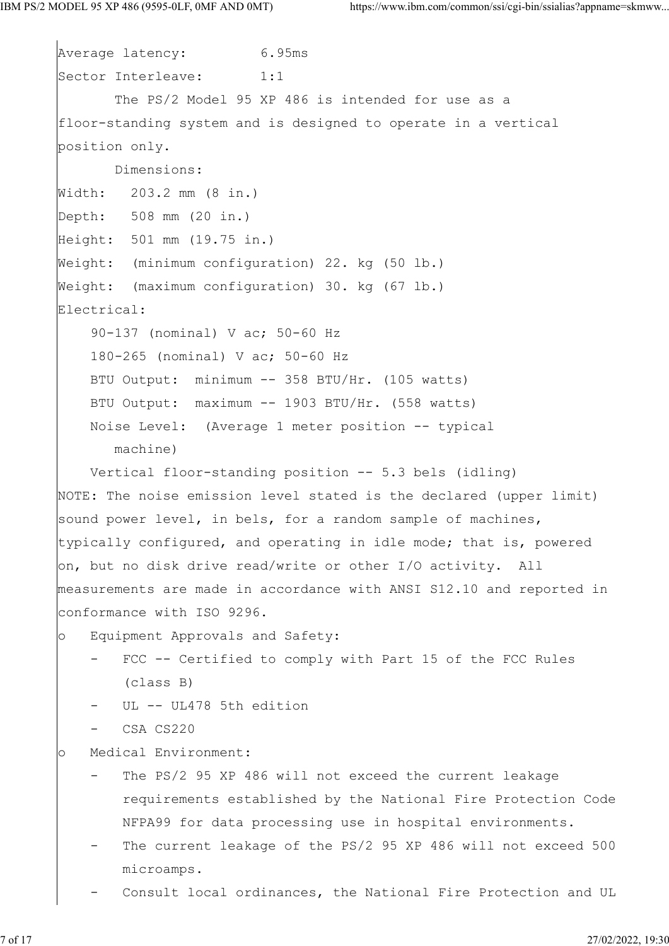```
Average latency: 6.95ms
Sector Interleave: 1:1
        The PS/2 Model 95 XP 486 is intended for use as a
floor-standing system and is designed to operate in a vertical
position only.
       Dimensions:
Width: 203.2 mm (8 in.)
Depth: 508 mm (20 in.)
Height: 501 mm (19.75 in.)
Weight: (minimum configuration) 22. kg (50 lb.)
Weight: (maximum configuration) 30. kg (67 lb.)
Electrical:
     90-137 (nominal) V ac; 50-60 Hz
     180-265 (nominal) V ac; 50-60 Hz
    BTU Output: minimum -- 358 BTU/Hr. (105 watts)
    BTU Output: maximum -- 1903 BTU/Hr. (558 watts)
    Noise Level: (Average 1 meter position -- typical
       machine)
     Vertical floor-standing position -- 5.3 bels (idling)
NOTE: The noise emission level stated is the declared (upper limit)
sound power level, in bels, for a random sample of machines,
typically configured, and operating in idle mode; that is, powered
on, but no disk drive read/write or other I/O activity. All
measurements are made in accordance with ANSI S12.10 and reported in
conformance with ISO 9296.
o Equipment Approvals and Safety:
     - FCC -- Certified to comply with Part 15 of the FCC Rules
        (class B)
       UL -- UL478 5th edition
    - CSA CS220
o Medical Environment:
        The PS/2 95 XP 486 will not exceed the current leakage
         requirements established by the National Fire Protection Code
         NFPA99 for data processing use in hospital environments.
       The current leakage of the PS/2 95 XP 486 will not exceed 500
        microamps.
        Consult local ordinances, the National Fire Protection and UL
```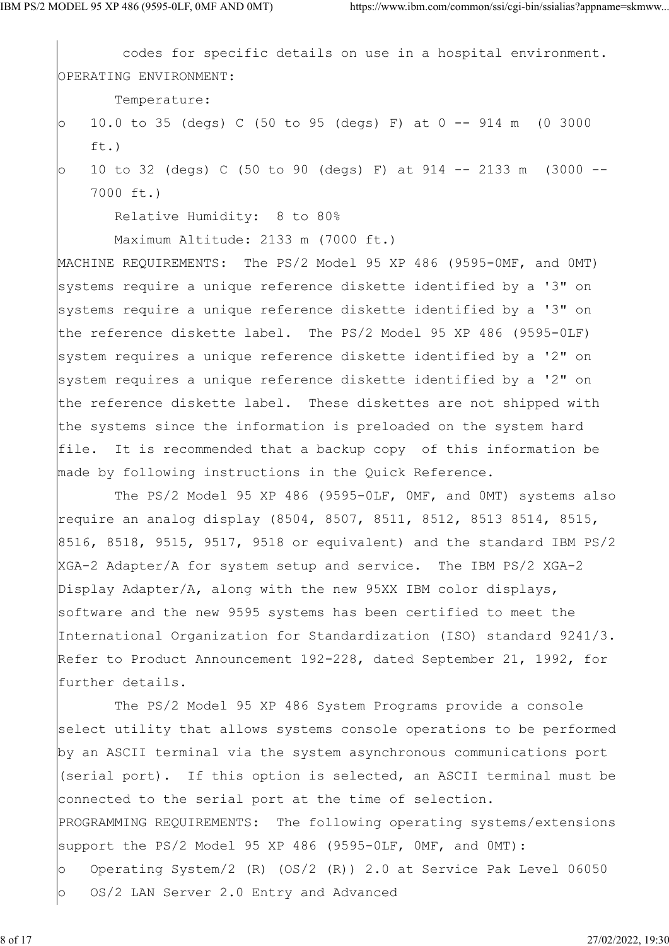codes for specific details on use in a hospital environment. OPERATING ENVIRONMENT: Temperature: o 10.0 to 35 (degs) C (50 to 95 (degs) F) at 0 -- 914 m (0 3000 ft.) o 10 to 32 (degs) C (50 to 90 (degs) F) at 914 -- 2133 m (3000 -- 7000 ft.)

Relative Humidity: 8 to 80%

Maximum Altitude: 2133 m (7000 ft.)

MACHINE REQUIREMENTS: The PS/2 Model 95 XP 486 (9595-0MF, and OMT) systems require a unique reference diskette identified by a '3" on systems require a unique reference diskette identified by a '3" on the reference diskette label. The PS/2 Model 95 XP 486 (9595-0LF) system requires a unique reference diskette identified by a '2" on system requires a unique reference diskette identified by a '2" on the reference diskette label. These diskettes are not shipped with the systems since the information is preloaded on the system hard file. It is recommended that a backup copy of this information be made by following instructions in the Quick Reference.

The PS/2 Model 95 XP 486 (9595-OLF, OMF, and OMT) systems also require an analog display (8504, 8507, 8511, 8512, 8513 8514, 8515, 8516, 8518, 9515, 9517, 9518 or equivalent) and the standard IBM PS/2 XGA-2 Adapter/A for system setup and service. The IBM PS/2 XGA-2 Display Adapter/A, along with the new 95XX IBM color displays, software and the new 9595 systems has been certified to meet the International Organization for Standardization (ISO) standard 9241/3. Refer to Product Announcement 192-228, dated September 21, 1992, for further details.

 The PS/2 Model 95 XP 486 System Programs provide a console select utility that allows systems console operations to be performed by an ASCII terminal via the system asynchronous communications port (serial port). If this option is selected, an ASCII terminal must be connected to the serial port at the time of selection. PROGRAMMING REQUIREMENTS: The following operating systems/extensions support the PS/2 Model 95 XP 486 (9595-OLF, OMF, and OMT): o Operating System/2 (R) (OS/2 (R)) 2.0 at Service Pak Level 06050 o OS/2 LAN Server 2.0 Entry and Advanced

8 of 17 27/02/2022, 19:30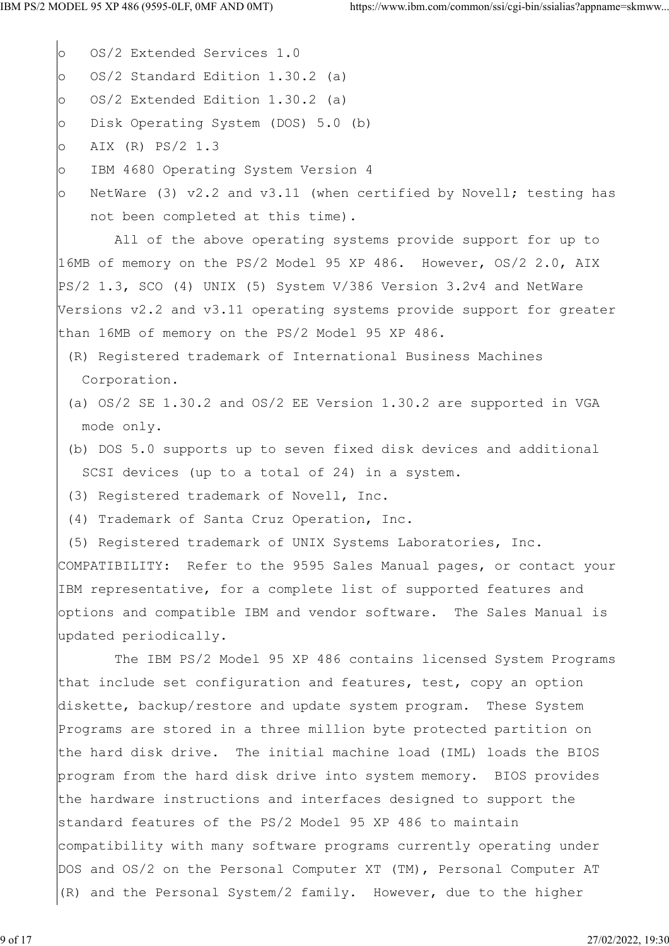o OS/2 Extended Services 1.0 o OS/2 Standard Edition 1.30.2 (a) o OS/2 Extended Edition 1.30.2 (a) o Disk Operating System (DOS) 5.0 (b) o AIX (R) PS/2 1.3 o IBM 4680 Operating System Version 4 o NetWare (3) v2.2 and v3.11 (when certified by Novell; testing has not been completed at this time). All of the above operating systems provide support for up to 16MB of memory on the PS/2 Model 95 XP 486. However, OS/2 2.0, AIX PS/2 1.3, SCO (4) UNIX (5) System V/386 Version 3.2v4 and NetWare Versions v2.2 and v3.11 operating systems provide support for greater than 16MB of memory on the PS/2 Model 95 XP 486. (R) Registered trademark of International Business Machines Corporation. (a) OS/2 SE 1.30.2 and OS/2 EE Version 1.30.2 are supported in VGA mode only. (b) DOS 5.0 supports up to seven fixed disk devices and additional SCSI devices (up to a total of 24) in a system. (3) Registered trademark of Novell, Inc. (4) Trademark of Santa Cruz Operation, Inc. (5) Registered trademark of UNIX Systems Laboratories, Inc. COMPATIBILITY: Refer to the 9595 Sales Manual pages, or contact your IBM representative, for a complete list of supported features and options and compatible IBM and vendor software. The Sales Manual is updated periodically. The IBM PS/2 Model 95 XP 486 contains licensed System Programs that include set configuration and features, test, copy an option diskette, backup/restore and update system program. These System Programs are stored in a three million byte protected partition on the hard disk drive. The initial machine load (IML) loads the BIOS program from the hard disk drive into system memory. BIOS provides the hardware instructions and interfaces designed to support the standard features of the PS/2 Model 95 XP 486 to maintain compatibility with many software programs currently operating under DOS and OS/2 on the Personal Computer XT (TM), Personal Computer AT (R) and the Personal System/2 family. However, due to the higher

9 of 17 27/02/2022, 19:30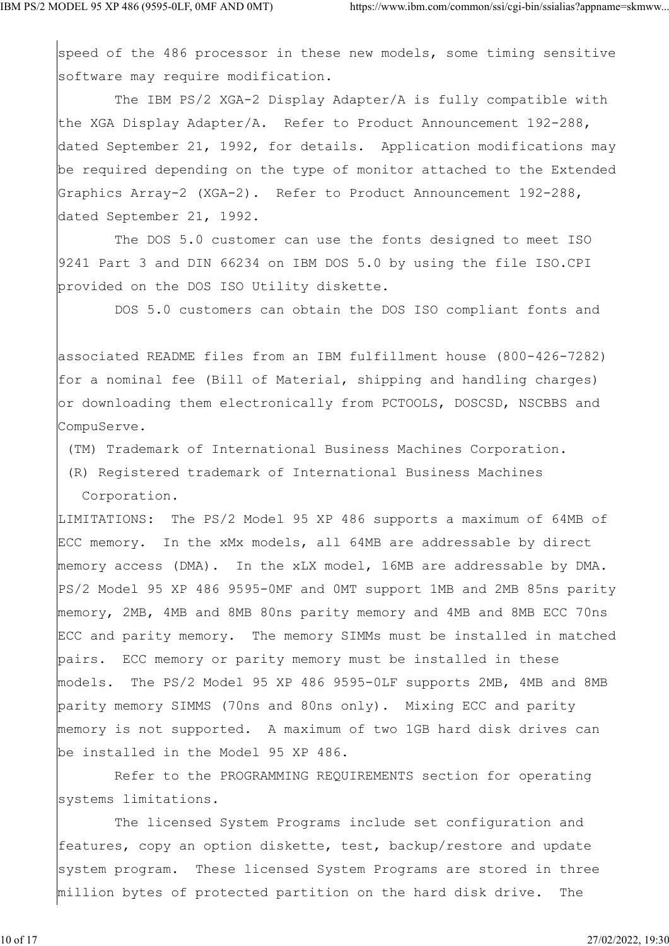speed of the 486 processor in these new models, some timing sensitive software may require modification.

 The IBM PS/2 XGA-2 Display Adapter/A is fully compatible with the XGA Display Adapter/A. Refer to Product Announcement 192-288, dated September 21, 1992, for details. Application modifications may be required depending on the type of monitor attached to the Extended Graphics Array-2 (XGA-2). Refer to Product Announcement 192-288, dated September 21, 1992.

 The DOS 5.0 customer can use the fonts designed to meet ISO 9241 Part 3 and DIN 66234 on IBM DOS 5.0 by using the file ISO.CPI provided on the DOS ISO Utility diskette.

DOS 5.0 customers can obtain the DOS ISO compliant fonts and

associated README files from an IBM fulfillment house (800-426-7282) for a nominal fee (Bill of Material, shipping and handling charges) or downloading them electronically from PCTOOLS, DOSCSD, NSCBBS and CompuServe.

(TM) Trademark of International Business Machines Corporation.

 (R) Registered trademark of International Business Machines Corporation.

LIMITATIONS: The PS/2 Model 95 XP 486 supports a maximum of 64MB of ECC memory. In the xMx models, all 64MB are addressable by direct memory access (DMA). In the xLX model, 16MB are addressable by DMA. PS/2 Model 95 XP 486 9595-0MF and 0MT support 1MB and 2MB 85ns parity memory, 2MB, 4MB and 8MB 80ns parity memory and 4MB and 8MB ECC 70ns ECC and parity memory. The memory SIMMs must be installed in matched pairs. ECC memory or parity memory must be installed in these models. The PS/2 Model 95 XP 486 9595-0LF supports 2MB, 4MB and 8MB parity memory SIMMS (70ns and 80ns only). Mixing ECC and parity memory is not supported. A maximum of two 1GB hard disk drives can be installed in the Model 95 XP 486.

 Refer to the PROGRAMMING REQUIREMENTS section for operating systems limitations.

 The licensed System Programs include set configuration and features, copy an option diskette, test, backup/restore and update system program. These licensed System Programs are stored in three million bytes of protected partition on the hard disk drive. The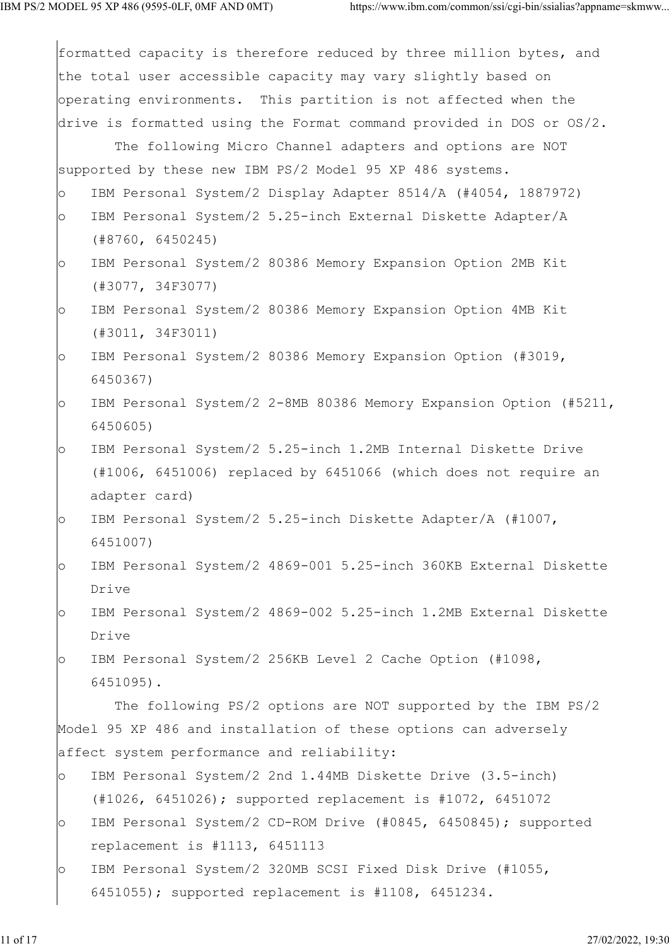|         | formatted capacity is therefore reduced by three million bytes, and     |
|---------|-------------------------------------------------------------------------|
|         | the total user accessible capacity may vary slightly based on           |
|         | operating environments. This partition is not affected when the         |
|         | drive is formatted using the Format command provided in DOS or $OS/2$ . |
|         | The following Micro Channel adapters and options are NOT                |
|         | supported by these new IBM PS/2 Model 95 XP 486 systems.                |
| $\circ$ | IBM Personal System/2 Display Adapter 8514/A (#4054, 1887972)           |
| $\circ$ | IBM Personal System/2 5.25-inch External Diskette Adapter/A             |
|         | (#8760, 6450245)                                                        |
| $\circ$ | IBM Personal System/2 80386 Memory Expansion Option 2MB Kit             |
|         | (#3077, 34F3077)                                                        |
| $\circ$ | IBM Personal System/2 80386 Memory Expansion Option 4MB Kit             |
|         | $(\#3011, 34F3011)$                                                     |
| $\circ$ | IBM Personal System/2 80386 Memory Expansion Option (#3019,             |
|         | 6450367)                                                                |
| $\circ$ | IBM Personal System/2 2-8MB 80386 Memory Expansion Option (#5211,       |
|         | 6450605)                                                                |
| $\circ$ | IBM Personal System/2 5.25-inch 1.2MB Internal Diskette Drive           |
|         | (#1006, 6451006) replaced by 6451066 (which does not require an         |
|         | adapter card)                                                           |
| $\circ$ | IBM Personal System/2 5.25-inch Diskette Adapter/A (#1007,              |
|         | 6451007)                                                                |
| $\circ$ | IBM Personal System/2 4869-001 5.25-inch 360KB External Diskette        |
|         | Drive                                                                   |
| $\circ$ | IBM Personal System/2 4869-002 5.25-inch 1.2MB External Diskette        |
|         | Drive                                                                   |
| $\circ$ | IBM Personal System/2 256KB Level 2 Cache Option (#1098,                |
|         | 6451095).                                                               |
|         | The following PS/2 options are NOT supported by the IBM PS/2            |
|         | Model 95 XP 486 and installation of these options can adversely         |
|         | affect system performance and reliability:                              |
| $\circ$ | IBM Personal System/2 2nd 1.44MB Diskette Drive (3.5-inch)              |
|         | $(#1026, 6451026);$ supported replacement is $#1072, 6451072$           |
| $\circ$ | IBM Personal System/2 CD-ROM Drive (#0845, 6450845); supported          |
|         | replacement is #1113, 6451113                                           |
| $\circ$ | IBM Personal System/2 320MB SCSI Fixed Disk Drive (#1055,               |
|         | 6451055); supported replacement is #1108, 6451234.                      |
|         |                                                                         |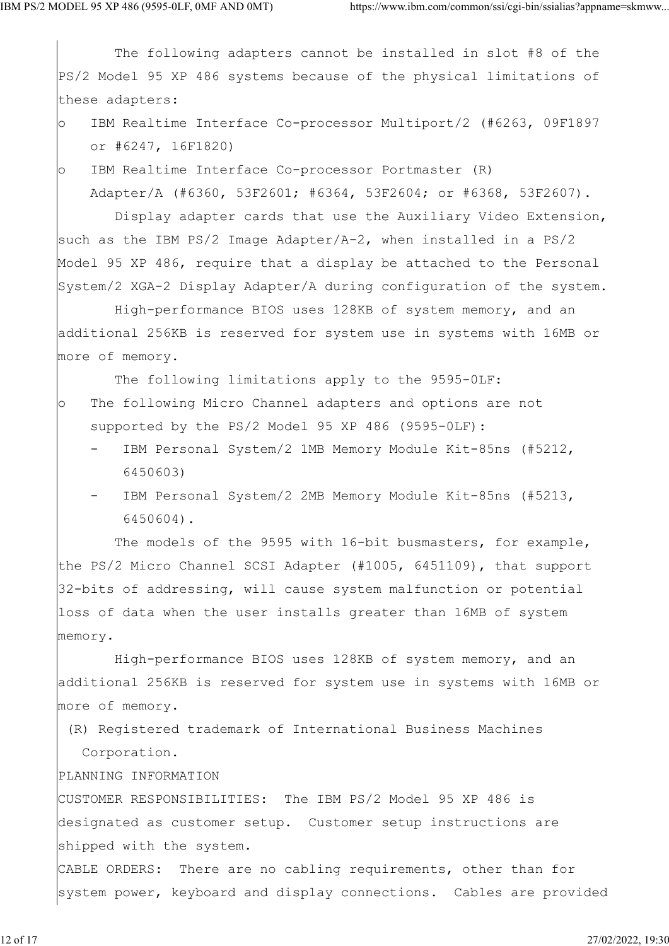The following adapters cannot be installed in slot #8 of the PS/2 Model 95 XP 486 systems because of the physical limitations of these adapters: o IBM Realtime Interface Co-processor Multiport/2 (#6263, 09F1897 or #6247, 16F1820) o IBM Realtime Interface Co-processor Portmaster (R) Adapter/A (#6360, 53F2601; #6364, 53F2604; or #6368, 53F2607). Display adapter cards that use the Auxiliary Video Extension, such as the IBM PS/2 Image Adapter/A-2, when installed in a PS/2 Model 95 XP 486, require that a display be attached to the Personal System/2 XGA-2 Display Adapter/A during configuration of the system. High-performance BIOS uses 128KB of system memory, and an additional 256KB is reserved for system use in systems with 16MB or more of memory. The following limitations apply to the 9595-0LF: o The following Micro Channel adapters and options are not supported by the PS/2 Model 95 XP 486 (9595-0LF): IBM Personal System/2 1MB Memory Module Kit-85ns (#5212, 6450603) IBM Personal System/2 2MB Memory Module Kit-85ns (#5213, 6450604). The models of the 9595 with 16-bit busmasters, for example, the PS/2 Micro Channel SCSI Adapter (#1005, 6451109), that support 32-bits of addressing, will cause system malfunction or potential loss of data when the user installs greater than 16MB of system memory. High-performance BIOS uses 128KB of system memory, and an additional 256KB is reserved for system use in systems with 16MB or more of memory. (R) Registered trademark of International Business Machines Corporation. PLANNING INFORMATION CUSTOMER RESPONSIBILITIES: The IBM PS/2 Model 95 XP 486 is designated as customer setup. Customer setup instructions are shipped with the system. CABLE ORDERS: There are no cabling requirements, other than for system power, keyboard and display connections. Cables are provided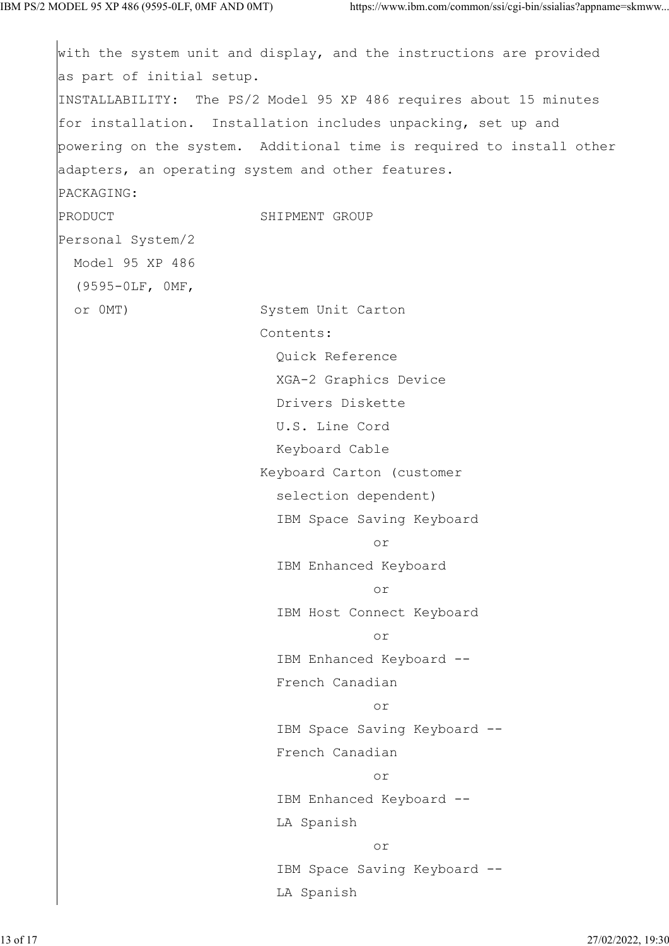```
with the system unit and display, and the instructions are provided
as part of initial setup.
INSTALLABILITY: The PS/2 Model 95 XP 486 requires about 15 minutes
for installation. Installation includes unpacking, set up and
powering on the system. Additional time is required to install other
adapters, an operating system and other features.
PACKAGING:
PRODUCT SHIPMENT GROUP
Personal System/2
  Model 95 XP 486
  (9595-0LF, 0MF,
  or 0MT) System Unit Carton
                  Contents:
                   Quick Reference
                   XGA-2 Graphics Device
                   Drivers Diskette
                   U.S. Line Cord
                   Keyboard Cable
                  Keyboard Carton (customer
                   selection dependent)
                   IBM Space Saving Keyboard
 or
                   IBM Enhanced Keyboard
 or
                   IBM Host Connect Keyboard
 or
                   IBM Enhanced Keyboard --
                   French Canadian
 or
                   IBM Space Saving Keyboard --
                   French Canadian
 or
                   IBM Enhanced Keyboard --
                   LA Spanish
 or
                   IBM Space Saving Keyboard --
                   LA Spanish
```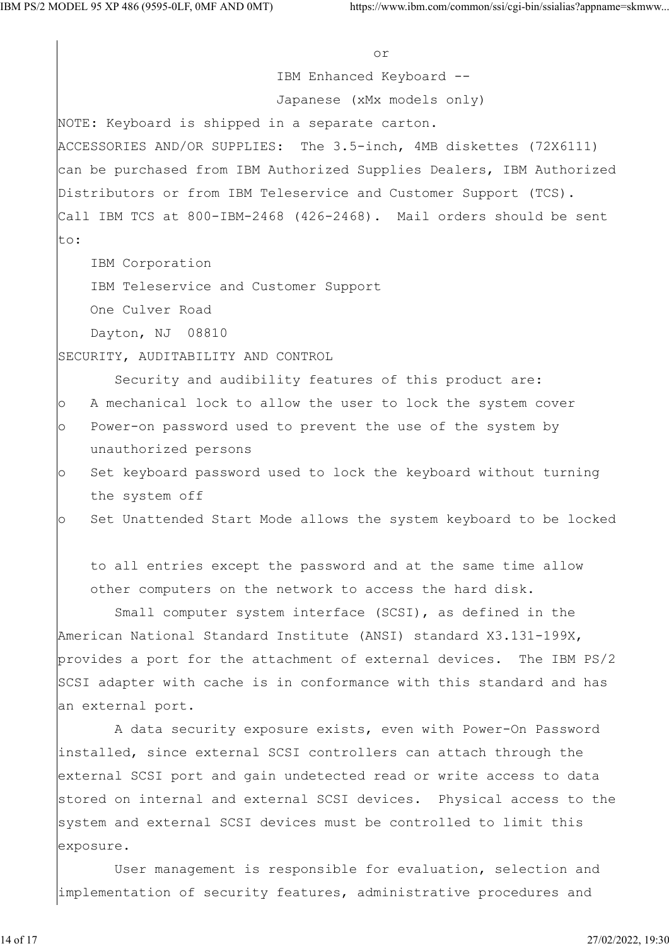or IBM Enhanced Keyboard -- Japanese (xMx models only) NOTE: Keyboard is shipped in a separate carton. ACCESSORIES AND/OR SUPPLIES: The 3.5-inch, 4MB diskettes (72X6111) can be purchased from IBM Authorized Supplies Dealers, IBM Authorized Distributors or from IBM Teleservice and Customer Support (TCS). Call IBM TCS at 800-IBM-2468 (426-2468). Mail orders should be sent to: IBM Corporation IBM Teleservice and Customer Support One Culver Road Dayton, NJ 08810 SECURITY, AUDITABILITY AND CONTROL Security and audibility features of this product are: o A mechanical lock to allow the user to lock the system cover o Power-on password used to prevent the use of the system by unauthorized persons o Set keyboard password used to lock the keyboard without turning the system off o Set Unattended Start Mode allows the system keyboard to be locked to all entries except the password and at the same time allow other computers on the network to access the hard disk. Small computer system interface (SCSI), as defined in the American National Standard Institute (ANSI) standard X3.131-199X, provides a port for the attachment of external devices. The IBM PS/2 SCSI adapter with cache is in conformance with this standard and has an external port. A data security exposure exists, even with Power-On Password installed, since external SCSI controllers can attach through the external SCSI port and gain undetected read or write access to data stored on internal and external SCSI devices. Physical access to the system and external SCSI devices must be controlled to limit this exposure. User management is responsible for evaluation, selection and implementation of security features, administrative procedures and

14 of 17 27/02/2022, 19:30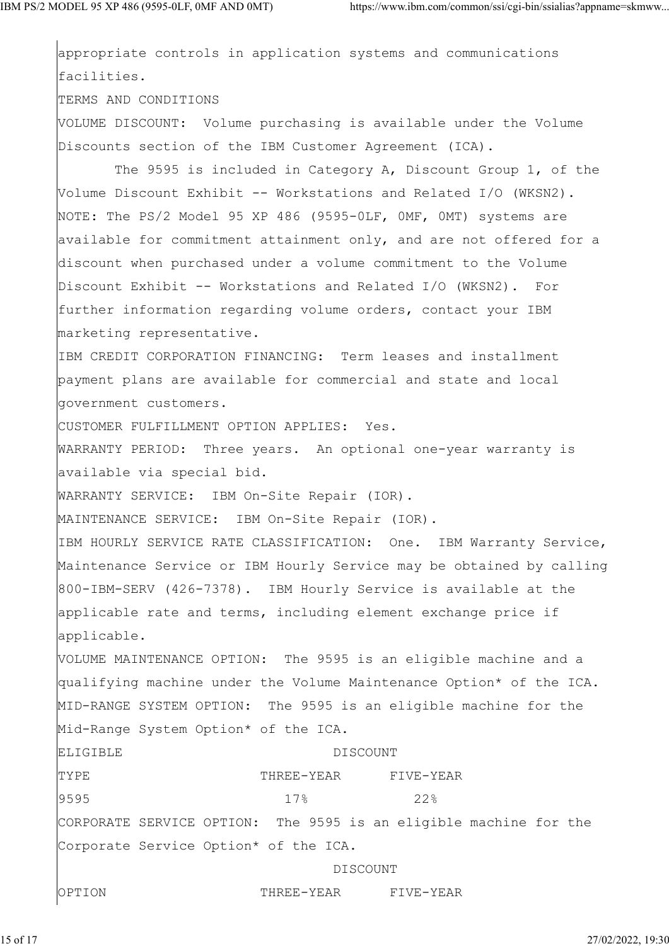appropriate controls in application systems and communications facilities. TERMS AND CONDITIONS VOLUME DISCOUNT: Volume purchasing is available under the Volume Discounts section of the IBM Customer Agreement (ICA). The 9595 is included in Category A, Discount Group 1, of the Volume Discount Exhibit -- Workstations and Related I/O (WKSN2). NOTE: The PS/2 Model 95 XP 486 (9595-0LF, 0MF, 0MT) systems are available for commitment attainment only, and are not offered for a discount when purchased under a volume commitment to the Volume Discount Exhibit -- Workstations and Related I/O (WKSN2). For further information regarding volume orders, contact your IBM marketing representative. IBM CREDIT CORPORATION FINANCING: Term leases and installment payment plans are available for commercial and state and local government customers. CUSTOMER FULFILLMENT OPTION APPLIES: Yes. WARRANTY PERIOD: Three years. An optional one-year warranty is available via special bid. WARRANTY SERVICE: IBM On-Site Repair (IOR). MAINTENANCE SERVICE: IBM On-Site Repair (IOR). IBM HOURLY SERVICE RATE CLASSIFICATION: One. IBM Warranty Service, Maintenance Service or IBM Hourly Service may be obtained by calling 800-IBM-SERV (426-7378). IBM Hourly Service is available at the applicable rate and terms, including element exchange price if applicable. VOLUME MAINTENANCE OPTION: The 9595 is an eligible machine and a qualifying machine under the Volume Maintenance Option\* of the ICA. MID-RANGE SYSTEM OPTION: The 9595 is an eligible machine for the Mid-Range System Option\* of the ICA. ELIGIBLE DISCOUNT TYPE THREE-YEAR FIVE-YEAR 9595 17% 22% CORPORATE SERVICE OPTION: The 9595 is an eligible machine for the Corporate Service Option\* of the ICA. DISCOUNT OPTION THREE-YEAR FIVE-YEAR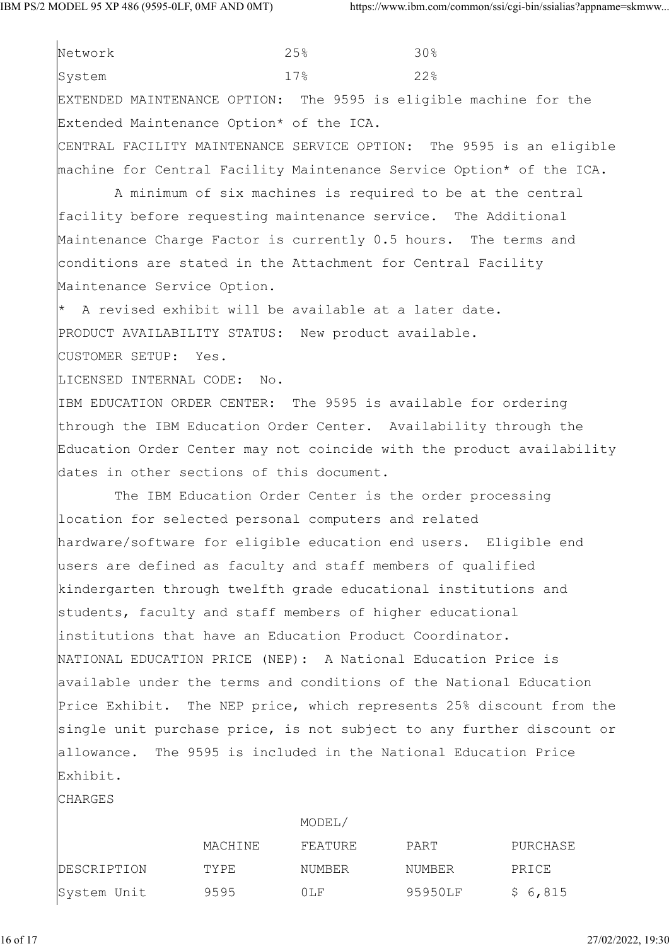Network 25% 30% System  $17\%$  22% EXTENDED MAINTENANCE OPTION: The 9595 is eligible machine for the Extended Maintenance Option\* of the ICA. CENTRAL FACILITY MAINTENANCE SERVICE OPTION: The 9595 is an eligible machine for Central Facility Maintenance Service Option\* of the ICA. A minimum of six machines is required to be at the central facility before requesting maintenance service. The Additional Maintenance Charge Factor is currently 0.5 hours. The terms and conditions are stated in the Attachment for Central Facility Maintenance Service Option. A revised exhibit will be available at a later date. PRODUCT AVAILABILITY STATUS: New product available. CUSTOMER SETUP: Yes. LICENSED INTERNAL CODE: No. IBM EDUCATION ORDER CENTER: The 9595 is available for ordering through the IBM Education Order Center. Availability through the Education Order Center may not coincide with the product availability dates in other sections of this document. The IBM Education Order Center is the order processing location for selected personal computers and related hardware/software for eligible education end users. Eligible end users are defined as faculty and staff members of qualified kindergarten through twelfth grade educational institutions and students, faculty and staff members of higher educational

NATIONAL EDUCATION PRICE (NEP): A National Education Price is available under the terms and conditions of the National Education Price Exhibit. The NEP price, which represents 25% discount from the single unit purchase price, is not subject to any further discount or allowance. The 9595 is included in the National Education Price Exhibit.

institutions that have an Education Product Coordinator.

**CHARGES** 

|             |         | MODEL/  |         |          |
|-------------|---------|---------|---------|----------|
|             | MACHINE | FEATURE | PART    | PURCHASE |
| DESCRIPTION | TYPE    | NUMBER  | NUMBER  | PRICE    |
| System Unit | 9595    | 0LF     | 95950LF | \$6,815  |